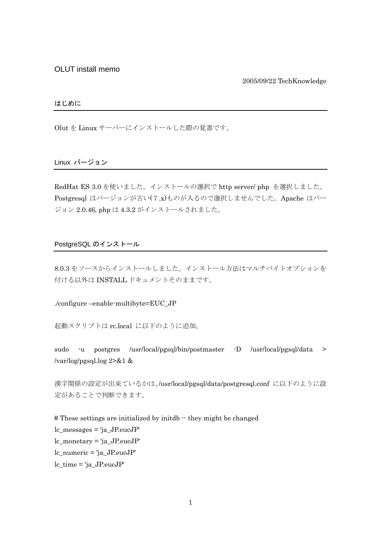OLUT install memo

2005/09/22 TechKnowledge

## はじめに

Olut を Linux サーバーにインストールした際の覚書です。

### Linux バージョン

RedHat ES 3.0 を使いました。インストールの選択で http server/ php を選択しました。 Postgresql はバージョンが古い(7.x)ものが入るので選択しませんでした。Apache はバー ジョン 2.0.46, php は 4.3.2 がインストールされました。

#### PostgreSQL のインストール

8.0.3 をソースからインストールしました。インストール方法はマルチバイトオプションを 付ける以外は INSTALL ドキュメントそのままです。

./configure –enable-multibyte=EUC\_JP

起動スクリプトは rc.local に以下のように追加。

sudo -u postgres /usr/local/pgsql/bin/postmaster -D /usr/local/pgsql/data > /var/log/pgsql.log 2>&1 &

漢字関係の設定が出来ているかは、/usr/local/pgsql/data/postgresql.conf に以下のように設 定があることで判断できます。

# These settings are initialized by initdb  $\cdot$  they might be changed lc\_messages = 'ja\_JP.eucJP' lc\_monetary = 'ja\_JP.eucJP' lc\_numeric = 'ja\_JP.eucJP' lc\_time = 'ja\_JP.eucJP'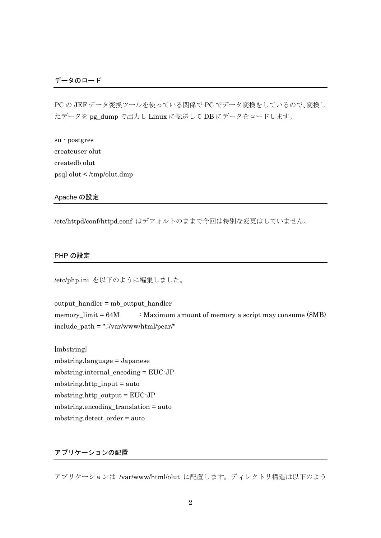PC の JEF データ変換ツールを使っている関係で PC でデータ変換をしているので、変換し たデータを pg\_dump で出力し Linux に転送して DB にデータをロードします。

su - postgres createuser olut createdb olut psql olut < /tmp/olut.dmp

Apache の設定

/etc/httpd/conf/httpd.conf はデフォルトのままで今回は特別な変更はしていません。

### PHP の設定

/etc/php.ini を以下のように編集しました。

output\_handler = mb\_output\_handler memory\_limit  $= 64M$  ; Maximum amount of memory a script may consume (8MB) include\_path = ".:/var/www/html/pear/"

[mbstring] mbstring.language = Japanese mbstring.internal\_encoding = EUC-JP mbstring.http\_input = auto mbstring.http\_output = EUC-JP mbstring.encoding\_translation = auto mbstring.detect\_order = auto

# アプリケーションの配置

アプリケーションは /var/www/html/olut に配置します。ディレクトリ構造は以下のよう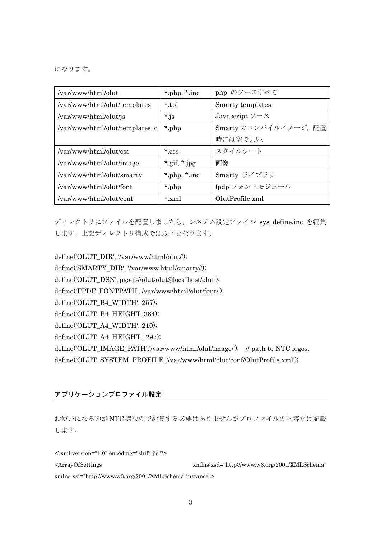になります。

| /var/www/html/olut             | $*$ php, $*$ inc | php のソースすべて                |
|--------------------------------|------------------|----------------------------|
| /var/www/html/olut/templates   | *.tpl            | Smarty templates           |
| /var/www/html/olut/js          | $*_{\text{js}}$  | Javascript $\vee$ - $\vee$ |
| /var/www/html/olut/templates_c | *.php            | Smarty のコンパイルイメージ。配置       |
|                                |                  | 時には空でよい。                   |
| /var/www/html/olut/css         | $*$ css          | スタイルシート                    |
| /var/www/html/olut/image       | *.gif, $*$ .jpg  | 画像                         |
| /var/www/html/olut/smarty      | *.php, $*$ .inc  | Smarty ライブラリ               |
| /var/www/html/olut/font        | *.php            | fpdp フォントモジュール             |
| /var/www/html/olut/conf        | $*$ xml          | OlutProfile.xml            |

ディレクトリにファイルを配置しましたら、システム設定ファイル sys\_define.inc を編集 します。上記ディレクトリ構成では以下となります。

define('OLUT\_DIR', '/var/www/html/olut/'); define('SMARTY\_DIR', '/var/www.html/smarty/'); define('OLUT\_DSN','pgsql://olut:olut@localhost/olut'); define('FPDF\_FONTPATH','/var/www/html/olut/font/'); define('OLUT\_B4\_WIDTH', 257); define('OLUT\_B4\_HEIGHT',364); define('OLUT\_A4\_WIDTH', 210); define('OLUT\_A4\_HEIGHT', 297); define('OLUT\_IMAGE\_PATH','/var/www/html/olut/image/'); // path to NTC logos. define('OLUT\_SYSTEM\_PROFILE','/var/www/html/olut/conf/OlutProfile.xml');

アプリケーションプロファイル設定

お使いになるのがNTC様なので編集する必要はありませんがプロファイルの内容だけ記載 します。

<?xml version="1.0" encoding="shift-jis"?> <ArrayOfSettings xmlns:xsd="http://www.w3.org/2001/XMLSchema" xmlns:xsi="http://www.w3.org/2001/XMLSchema-instance">